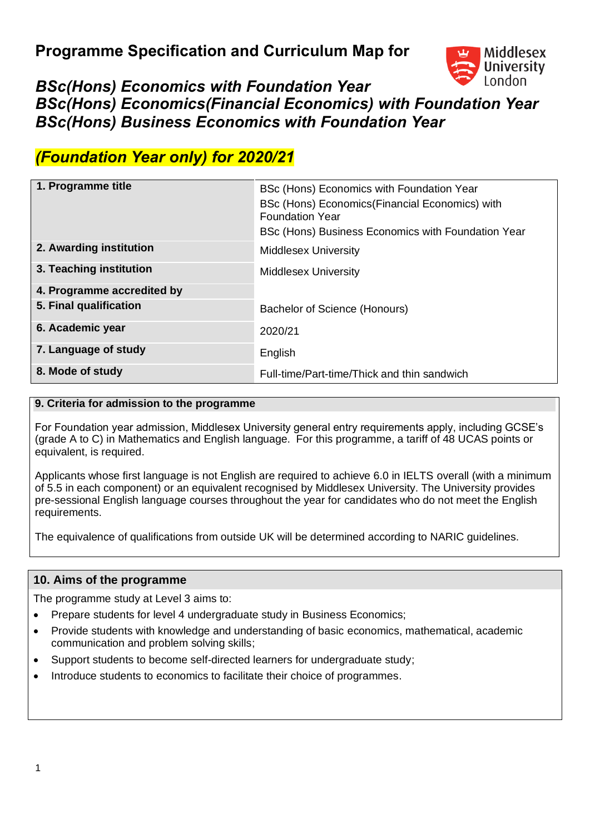

# *BSc(Hons) Economics with Foundation Year BSc(Hons) Economics(Financial Economics) with Foundation Year BSc(Hons) Business Economics with Foundation Year*

# *(Foundation Year only) for 2020/21*

| 1. Programme title         | BSc (Hons) Economics with Foundation Year<br>BSc (Hons) Economics (Financial Economics) with<br><b>Foundation Year</b><br>BSc (Hons) Business Economics with Foundation Year |
|----------------------------|------------------------------------------------------------------------------------------------------------------------------------------------------------------------------|
| 2. Awarding institution    | <b>Middlesex University</b>                                                                                                                                                  |
| 3. Teaching institution    | <b>Middlesex University</b>                                                                                                                                                  |
| 4. Programme accredited by |                                                                                                                                                                              |
| 5. Final qualification     | Bachelor of Science (Honours)                                                                                                                                                |
| 6. Academic year           | 2020/21                                                                                                                                                                      |
| 7. Language of study       | English                                                                                                                                                                      |
| 8. Mode of study           | Full-time/Part-time/Thick and thin sandwich                                                                                                                                  |

### **9. Criteria for admission to the programme**

For Foundation year admission, Middlesex University general entry requirements apply, including GCSE's (grade A to C) in Mathematics and English language. For this programme, a tariff of 48 UCAS points or equivalent, is required.

Applicants whose first language is not English are required to achieve 6.0 in IELTS overall (with a minimum of 5.5 in each component) or an equivalent recognised by Middlesex University. The University provides pre-sessional English language courses throughout the year for candidates who do not meet the English requirements.

The equivalence of qualifications from outside UK will be determined according to NARIC guidelines.

### **10. Aims of the programme**

The programme study at Level 3 aims to:

- Prepare students for level 4 undergraduate study in Business Economics;
- Provide students with knowledge and understanding of basic economics, mathematical, academic communication and problem solving skills;
- Support students to become self-directed learners for undergraduate study;
- Introduce students to economics to facilitate their choice of programmes.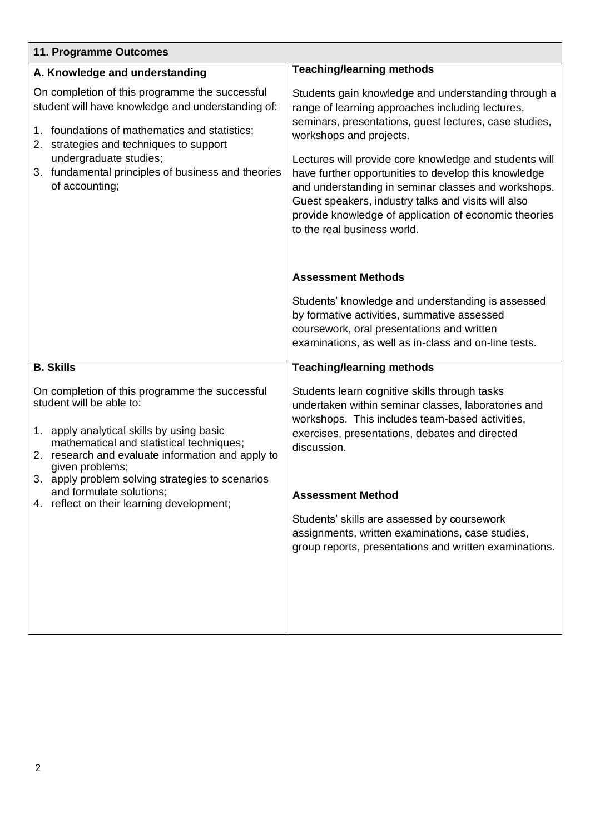| 11. Programme Outcomes                                                                                                                                                                                                                                                                               |                                                                                                                                                                                                                                                                                                                                                                                                                                                                                                                      |
|------------------------------------------------------------------------------------------------------------------------------------------------------------------------------------------------------------------------------------------------------------------------------------------------------|----------------------------------------------------------------------------------------------------------------------------------------------------------------------------------------------------------------------------------------------------------------------------------------------------------------------------------------------------------------------------------------------------------------------------------------------------------------------------------------------------------------------|
| A. Knowledge and understanding                                                                                                                                                                                                                                                                       | <b>Teaching/learning methods</b>                                                                                                                                                                                                                                                                                                                                                                                                                                                                                     |
| On completion of this programme the successful<br>student will have knowledge and understanding of:<br>1. foundations of mathematics and statistics;<br>strategies and techniques to support<br>2.<br>undergraduate studies;<br>3. fundamental principles of business and theories<br>of accounting; | Students gain knowledge and understanding through a<br>range of learning approaches including lectures,<br>seminars, presentations, guest lectures, case studies,<br>workshops and projects.<br>Lectures will provide core knowledge and students will<br>have further opportunities to develop this knowledge<br>and understanding in seminar classes and workshops.<br>Guest speakers, industry talks and visits will also<br>provide knowledge of application of economic theories<br>to the real business world. |
|                                                                                                                                                                                                                                                                                                      | <b>Assessment Methods</b>                                                                                                                                                                                                                                                                                                                                                                                                                                                                                            |
|                                                                                                                                                                                                                                                                                                      | Students' knowledge and understanding is assessed<br>by formative activities, summative assessed<br>coursework, oral presentations and written<br>examinations, as well as in-class and on-line tests.                                                                                                                                                                                                                                                                                                               |
| <b>B. Skills</b>                                                                                                                                                                                                                                                                                     | <b>Teaching/learning methods</b>                                                                                                                                                                                                                                                                                                                                                                                                                                                                                     |
| On completion of this programme the successful<br>student will be able to:<br>apply analytical skills by using basic<br>1.<br>mathematical and statistical techniques;<br>2. research and evaluate information and apply to<br>given problems;<br>3. apply problem solving strategies to scenarios   | Students learn cognitive skills through tasks<br>undertaken within seminar classes, laboratories and<br>workshops. This includes team-based activities,<br>exercises, presentations, debates and directed<br>discussion.                                                                                                                                                                                                                                                                                             |
| and formulate solutions;<br>4. reflect on their learning development;                                                                                                                                                                                                                                | <b>Assessment Method</b>                                                                                                                                                                                                                                                                                                                                                                                                                                                                                             |
|                                                                                                                                                                                                                                                                                                      | Students' skills are assessed by coursework<br>assignments, written examinations, case studies,<br>group reports, presentations and written examinations.                                                                                                                                                                                                                                                                                                                                                            |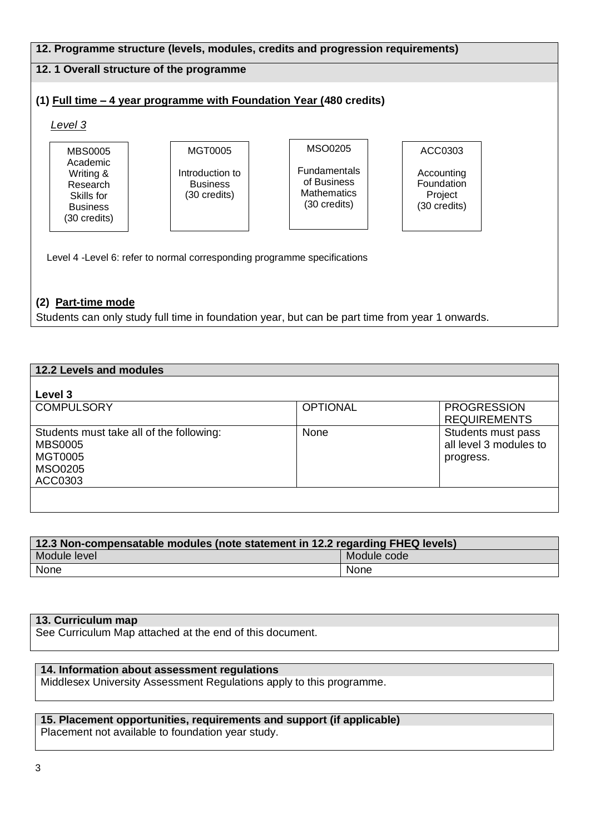#### **12. Programme structure (levels, modules, credits and progression requirements) 12. 1 Overall structure of the programme (1) Full time – 4 year programme with Foundation Year (480 credits)**  *Level 3* Level 4 -Level 6: refer to normal corresponding programme specifications **(2) Part-time mode** Students can only study full time in foundation year, but can be part time from year 1 onwards. MBS0005 Academic Writing & Research Skills for Business (30 credits) MGT0005 Introduction to Business (30 credits) MSO0205 Fundamentals of Business **Mathematics** (30 credits) ACC0303 Accounting Foundation Project (30 credits)

| 12.2 Levels and modules                  |                 |                        |
|------------------------------------------|-----------------|------------------------|
|                                          |                 |                        |
| Level 3                                  |                 |                        |
| <b>COMPULSORY</b>                        | <b>OPTIONAL</b> | <b>PROGRESSION</b>     |
|                                          |                 | <b>REQUIREMENTS</b>    |
| Students must take all of the following: | None            | Students must pass     |
| <b>MBS0005</b>                           |                 | all level 3 modules to |
| <b>MGT0005</b>                           |                 | progress.              |
| <b>MSO0205</b>                           |                 |                        |
| ACC0303                                  |                 |                        |
|                                          |                 |                        |
|                                          |                 |                        |

| 12.3 Non-compensatable modules (note statement in 12.2 regarding FHEQ levels) |             |  |  |  |  |  |  |
|-------------------------------------------------------------------------------|-------------|--|--|--|--|--|--|
| Module level                                                                  | Module code |  |  |  |  |  |  |
| None                                                                          | None        |  |  |  |  |  |  |

### **13. Curriculum map**

See Curriculum Map attached at the end of this document.

#### **14. Information about assessment regulations**

Middlesex University Assessment Regulations apply to this programme.

## **15. Placement opportunities, requirements and support (if applicable)**

Placement not available to foundation year study.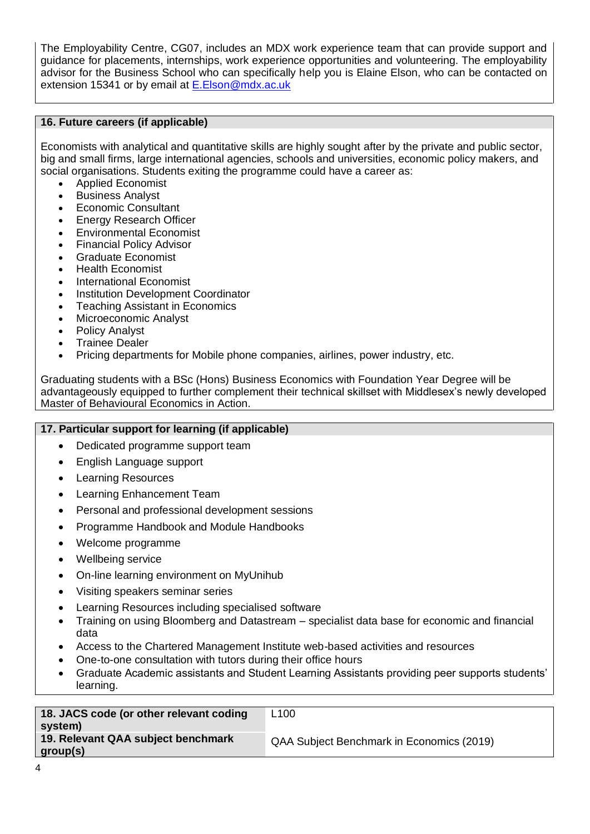The Employability Centre, CG07, includes an MDX work experience team that can provide support and guidance for placements, internships, work experience opportunities and volunteering. The employability advisor for the Business School who can specifically help you is Elaine Elson, who can be contacted on extension 15341 or by email at [E.Elson@mdx.ac.uk](mailto:E.Elson@mdx.ac.uk)

### **16. Future careers (if applicable)**

Economists with analytical and quantitative skills are highly sought after by the private and public sector, big and small firms, large international agencies, schools and universities, economic policy makers, and social organisations. Students exiting the programme could have a career as:

- Applied Economist
- Business Analyst
- Economic Consultant
- Energy Research Officer
- Environmental Economist
- Financial Policy Advisor
- Graduate Economist
- Health Economist
- International Economist
- Institution Development Coordinator
- Teaching Assistant in Economics
- Microeconomic Analyst
- Policy Analyst
- Trainee Dealer
- Pricing departments for Mobile phone companies, airlines, power industry, etc.

Graduating students with a BSc (Hons) Business Economics with Foundation Year Degree will be advantageously equipped to further complement their technical skillset with Middlesex's newly developed Master of Behavioural Economics in Action.

### **17. Particular support for learning (if applicable)**

- Dedicated programme support team
- English Language support
- Learning Resources
- Learning Enhancement Team
- Personal and professional development sessions
- Programme Handbook and Module Handbooks
- Welcome programme
- Wellbeing service
- On-line learning environment on MyUnihub
- Visiting speakers seminar series
- Learning Resources including specialised software
- Training on using Bloomberg and Datastream specialist data base for economic and financial data
- Access to the Chartered Management Institute web-based activities and resources
- One-to-one consultation with tutors during their office hours
- Graduate Academic assistants and Student Learning Assistants providing peer supports students' learning.

| 18. JACS code (or other relevant coding<br>system) | L <sub>100</sub>                          |
|----------------------------------------------------|-------------------------------------------|
| 19. Relevant QAA subject benchmark<br>group(s)     | QAA Subject Benchmark in Economics (2019) |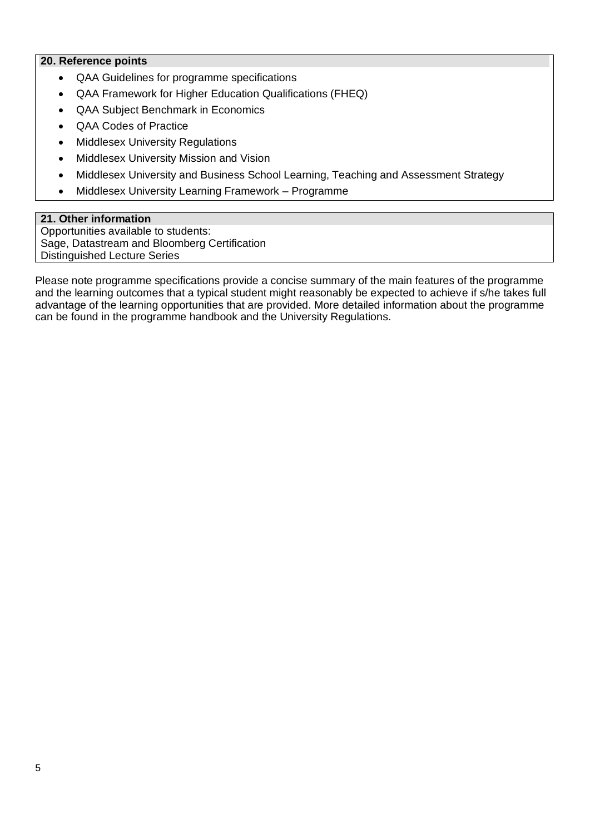### **20. Reference points**

- QAA Guidelines for programme specifications
- QAA Framework for Higher Education Qualifications (FHEQ)
- QAA Subject Benchmark in Economics
- QAA Codes of Practice
- Middlesex University Regulations
- Middlesex University Mission and Vision
- Middlesex University and Business School Learning, Teaching and Assessment Strategy
- Middlesex University Learning Framework Programme

### **21. Other information**

Opportunities available to students: Sage, Datastream and Bloomberg Certification Distinguished Lecture Series

Please note programme specifications provide a concise summary of the main features of the programme and the learning outcomes that a typical student might reasonably be expected to achieve if s/he takes full advantage of the learning opportunities that are provided. More detailed information about the programme can be found in the programme handbook and the University Regulations.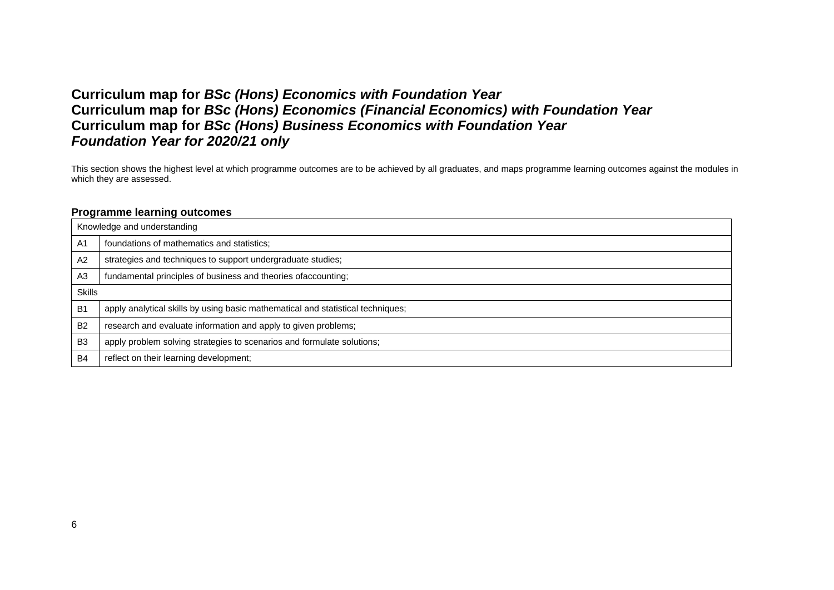### **Curriculum map for** *BSc (Hons) Economics with Foundation Year* **Curriculum map for** *BSc (Hons) Economics (Financial Economics) with Foundation Year* **Curriculum map for** *BSc (Hons) Business Economics with Foundation Year Foundation Year for 2020/21 only*

This section shows the highest level at which programme outcomes are to be achieved by all graduates, and maps programme learning outcomes against the modules in which they are assessed.

#### **Programme learning outcomes**

|                | Knowledge and understanding                                                     |
|----------------|---------------------------------------------------------------------------------|
| A <sub>1</sub> | foundations of mathematics and statistics;                                      |
| A <sub>2</sub> | strategies and techniques to support undergraduate studies;                     |
| A <sub>3</sub> | fundamental principles of business and theories of accounting;                  |
| <b>Skills</b>  |                                                                                 |
| B <sub>1</sub> | apply analytical skills by using basic mathematical and statistical techniques; |
| B <sub>2</sub> | research and evaluate information and apply to given problems;                  |
| B <sub>3</sub> | apply problem solving strategies to scenarios and formulate solutions;          |
| <b>B4</b>      | reflect on their learning development;                                          |